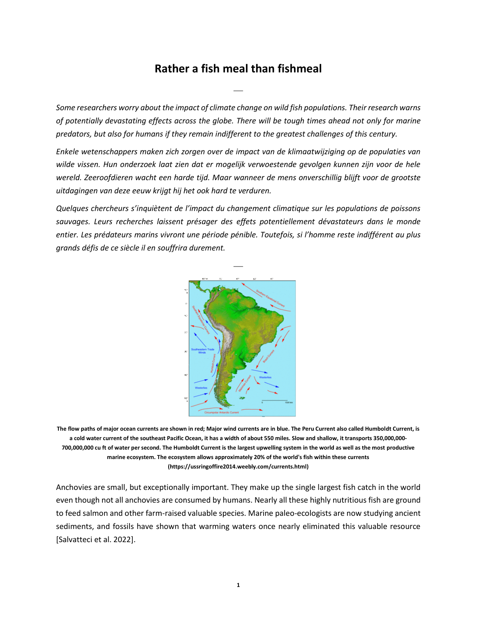## **Rather a fish meal than fishmeal**

⎯

*Some researchers worry about the impact of climate change on wild fish populations. Their research warns of potentially devastating effects across the globe. There will be tough times ahead not only for marine predators, but also for humans if they remain indifferent to the greatest challenges of this century.*

*Enkele wetenschappers maken zich zorgen over de impact van de klimaatwijziging op de populaties van wilde vissen. Hun onderzoek laat zien dat er mogelijk verwoestende gevolgen kunnen zijn voor de hele wereld. Zeeroofdieren wacht een harde tijd. Maar wanneer de mens onverschillig blijft voor de grootste uitdagingen van deze eeuw krijgt hij het ook hard te verduren.*

*Quelques chercheurs s'inquiètent de l'impact du changement climatique sur les populations de poissons sauvages. Leurs recherches laissent présager des effets potentiellement dévastateurs dans le monde entier. Les prédateurs marins vivront une période pénible. Toutefois, si l'homme reste indifférent au plus grands défis de ce siècle il en souffrira durement.*



**The flow paths of major ocean currents are shown in red; Major wind currents are in blue. The Peru Current also called Humboldt Current, is a cold water current of the southeast Pacific Ocean, it has a width of about 550 miles. Slow and shallow, it transports 350,000,000- 700,000,000 cu ft of water per second. The Humboldt Current is the largest upwelling system in the world as well as the most productive marine ecosystem. The ecosystem allows approximately 20% of the world's fish within these currents (https://ussringoffire2014.weebly.com/currents.html)**

Anchovies are small, but exceptionally important. They make up the single largest fish catch in the world even though not all anchovies are consumed by humans. Nearly all these highly nutritious fish are ground to feed salmon and other farm-raised valuable species. Marine paleo-ecologists are now studying ancient sediments, and fossils have shown that warming waters once nearly eliminated this valuable resource [Salvatteci et al. 2022].